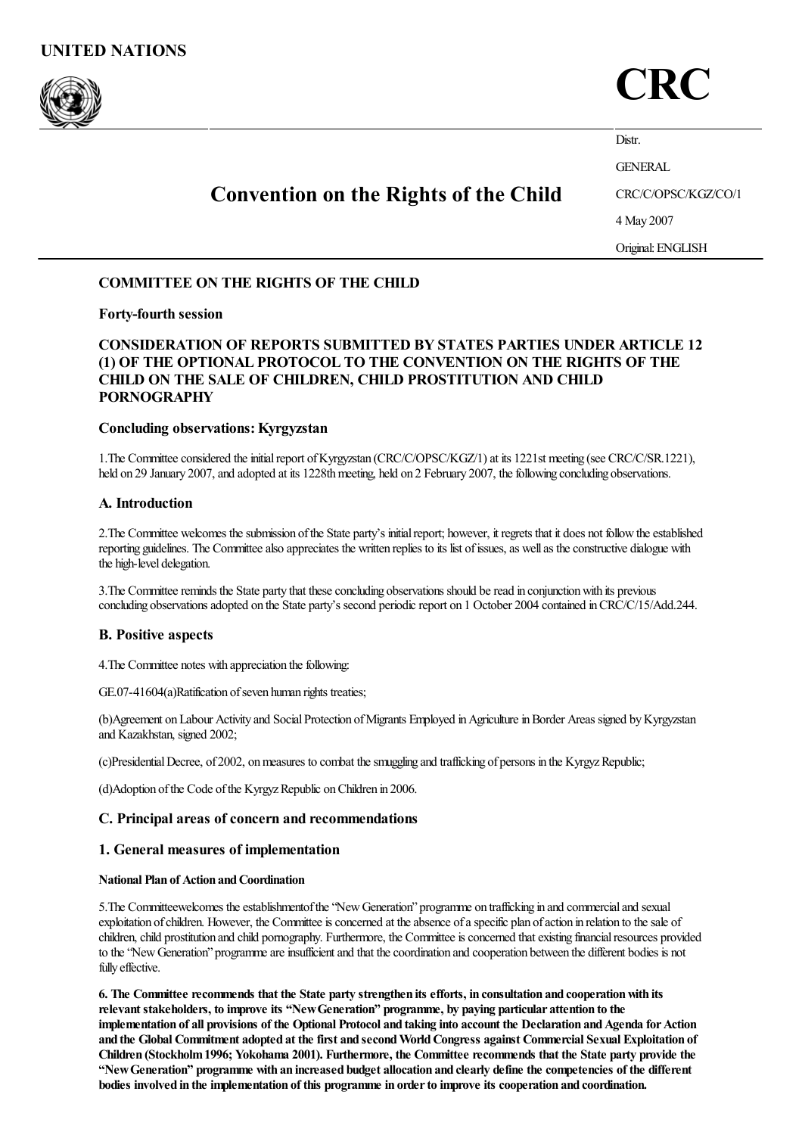



Distr. GENERAL

# Convention on the Rights of the Child

CRC/C/OPSC/KGZ/CO/1

4 May 2007

Original:ENGLISH

# COMMITTEE ON THE RIGHTS OF THE CHILD

# Forty-fourth session

# CONSIDERATION OF REPORTS SUBMITTED BY STATES PARTIES UNDER ARTICLE 12 (1) OF THE OPTIONAL PROTOCOL TO THE CONVENTION ON THE RIGHTS OF THE CHILD ON THE SALE OF CHILDREN, CHILD PROSTITUTION AND CHILD PORNOGRAPHY

# Concluding observations:Kyrgyzstan

1. The Committee considered the initial report of Kyrgyzstan (CRC/C/OPSC/KGZ/1) at its 1221st meeting (see CRC/C/SR.1221), held on 29 January 2007, and adopted at its 1228th meeting, held on 2 February 2007, the following concluding observations.

# A. Introduction

2. The Committee welcomes the submission of the State party's initial report; however, it regrets that it does not follow the established reporting guidelines. The Committee also appreciates the written replies to its list of issues, as well as the constructive dialogue with the high-level delegation.

3. The Committee reminds the State party that these concluding observations should be read in conjunction with its previous concluding observations adopted on the State party's second periodic report on 1 October 2004 contained in CRC/C/15/Add.244.

# B. Positive aspects

4. The Committee notes with appreciation the following:

GE.07-41604(a)Ratification of seven human rights treaties;

(b)Agreement on Labour Activity and Social Protection of Migrants Employed in Agriculture in Border Areas signed by Kyrgyzstan and Kazakhstan, signed 2002;

(c)Presidential Decree, of 2002, on measures to combat the smuggling and trafficking of persons in the Kyrgyz Republic;

(d)Adoption of the Code of the Kyrgyz Republic on Children in 2006.

# C. Principal areas of concern and recommendations

## 1. General measures of implementation

## **National Plan of Action and Coordination**

5. The Committeewelcomes the establishmentof the "New Generation" programme on trafficking in and commercial and sexual exploitation of children. However, the Committee is concerned at the absence of a specific plan of action in relation to the sale of children, child prostitution and child pornography. Furthermore, the Committee is concerned that existing financial resources provided to the "New Generation" programme are insufficient and that the coordination and cooperation between the different bodies is not fully effective.

6. The Committee recommends that the State party strengthen its efforts, in consultation and cooperation with its relevant stakeholders, to improve its "NewGeneration" programme, by paying particular attention to the implementation of all provisions of the Optional Protocol and taking into account the Declaration and Agenda for Action and the Global Commitment adopted at the first and secondWorldCongress against Commercial Sexual Exploitation of Children (Stockholm1996; Yokohama 2001). Furthermore, the Committee recommends that the State party provide the "NewGeneration" programme with an increased budget allocation and clearly define the competencies of the different bodies involved in the implementation of this programme in orderto improve its cooperation and coordination.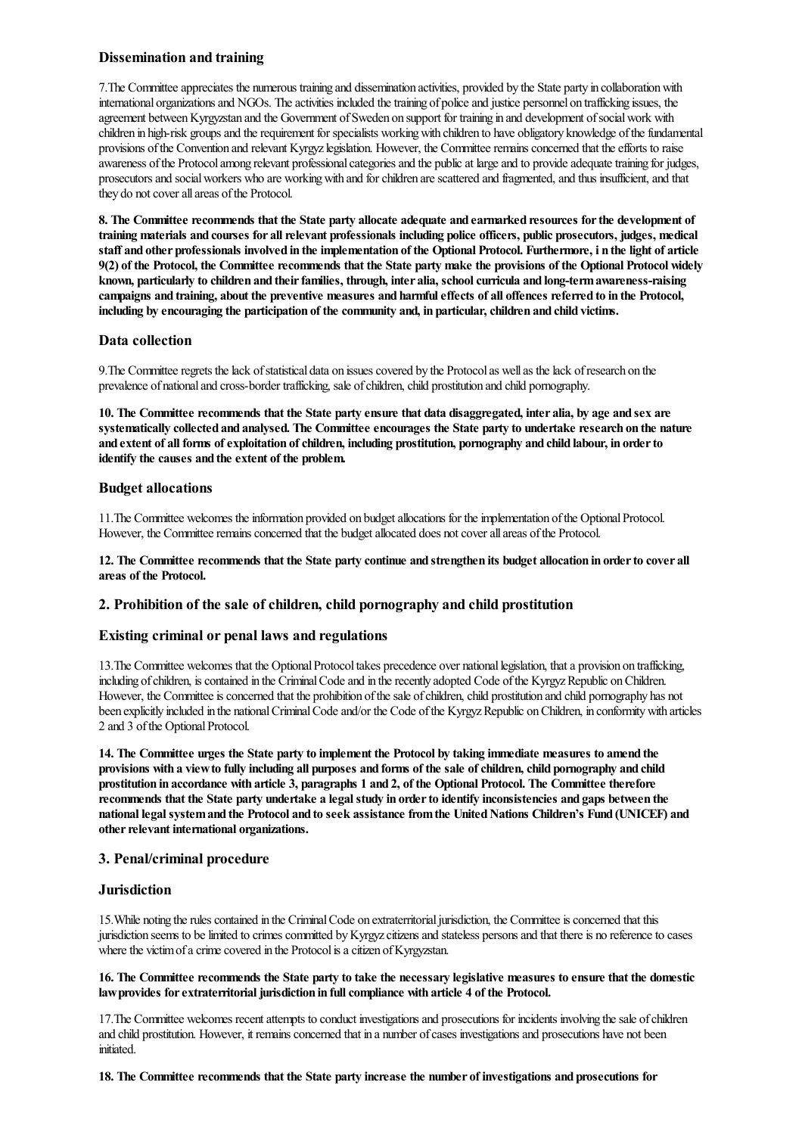# Dissemination and training

7. The Committee appreciates the numerous training and dissemination activities, provided by the State party in collaboration with international organizations and NGOs. The activities included the training of police and justice personnel on trafficking issues, the agreement between Kyrgyzstan and the Government of Sweden on support for training in and development of social work with children in high-risk groups and the requirement for specialists working with children to have obligatory knowledge of the fundamental provisions ofthe Convention and relevant Kyrgyzlegislation. However, the Committeeremainsconcerned that theefforts to raise awareness of the Protocol among relevant professional categories and the public at large and to provide adequate training for judges, prosecutorsand socialworkers who are workingwith and forchildren arescattered and fragmented,and thus insufficient,and that they do not cover all areas of the Protocol.

8. The Committee recommends that the State party allocate adequate and earmarked resources forthe development of training materials and courses for allrelevant professionals including police officers, public prosecutors, judges, medical staff and other professionals involved in the implementation of the Optional Protocol. Furthermore, i n the light of article 9(2) of the Protocol, the Committee recommends that the State party make the provisions of the Optional Protocol widely known, particularly to children and their families, through, inter alia, school curricula and long-term awareness-raising campaigns and training, about the preventive measures and harmfuleffects of all offences referred to in the Protocol, including by encouraging the participation of the community and, in particular, children and child victims.

# Data collection

9. The Committee regrets the lack of statistical data on issues covered by the Protocol as well as the lack of research on the prevalence of national and cross-border trafficking, sale of children, child prostitution and child pornography.

10. The Committee recommends that the State party ensure that data disaggregated, inter alia, by age and sex are systematically collected and analysed. The Committee encourages the State party to undertake research on the nature and extent of all forms of exploitation of children, including prostitution, pornography and child labour, in order to identify the causes and the extent of the problem.

## Budget allocations

11.The Committee welcomes theinformation provided on budgetallocations for theimplementation ofthe OptionalProtocol. However, the Committee remains concerned that the budget allocated does not cover all areas of the Protocol.

12. The Committee recommends that the State party continue and strengthen its budget allocation in orderto cover all areas of the Protocol.

## 2. Prohibition of the sale of children, child pornography and child prostitution

## Existing criminal or penal laws and regulations

13.The Committee welcomes that the OptionalProtocoltakes precedence over nationallegislation, thata provision on trafficking, including of children, is contained in the Criminal Code and in the recently adopted Code of the Kyrgyz Republic on Children. However, the Committee is concerned that the prohibition of the sale of children, child prostitution and child pornography has not been explicitly included in the national Criminal Code and/or the Code of the Kyrgyz Republic on Children, in conformity with articles 2 and 3 of the Optional Protocol.

14. The Committee urges the State party to implement the Protocol by taking immediate measures to amend the provisions with a view to fully including all purposes and forms of the sale of children, child pornography and child prostitution in accordance with article 3, paragraphs 1 and 2, of the Optional Protocol. The Committee therefore recommends that the State party undertake a legalstudy in orderto identify inconsistencies and gaps between the national legal system and the Protocol and to seek assistance from the United Nations Children's Fund (UNICEF) and other relevant international organizations.

## 3. Penal/criminal procedure

## **Jurisdiction**

15. While noting the rules contained in the Criminal Code on extraterritorial jurisdiction, the Committee is concerned that this jurisdiction seems to be limited to crimes committed by Kyrgyz citizens and stateless persons and that there is no reference to cases where the victim of a crime covered in the Protocol is a citizen of Kyrgyzstan.

#### 16. The Committee recommends the State party to take the necessary legislative measures to ensure that the domestic law provides for extraterritorial jurisdiction in full compliance with article 4 of the Protocol.

17. The Committee welcomes recent attempts to conduct investigations and prosecutions for incidents involving the sale of children and child prostitution. However, it remains concerned that in a number of cases investigations and prosecutions have not been initiated.

#### 18. The Committee recommends that the State party increase the number of investigations and prosecutions for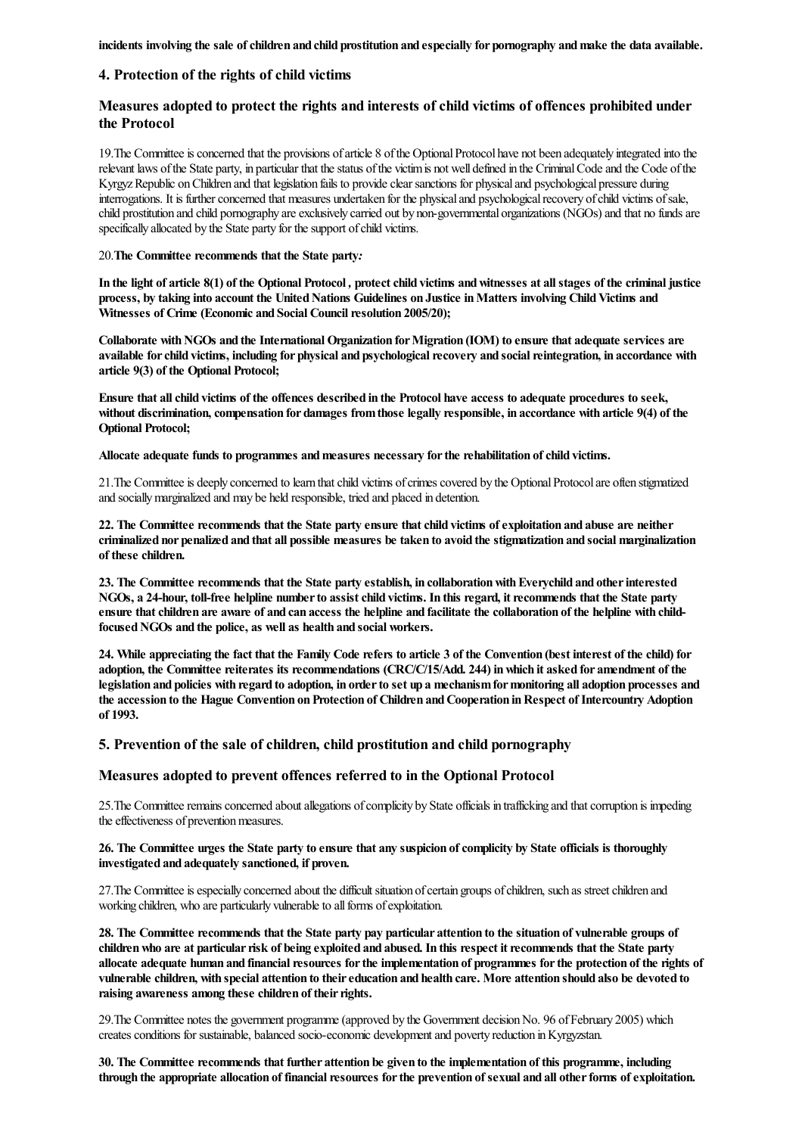incidents involving the sale of children and child prostitution and especially for pornography and make the data available.

## 4. Protection of the rights of child victims

# Measures adopted to protect the rights and interests of child victims of offences prohibited under the Protocol

19. The Committee is concerned that the provisions of article 8 of the Optional Protocol have not been adequately integrated into the relevant laws of the State party, in particular that the status of the victim is not well defined in the Criminal Code and the Code of the Kyrgyz Republic on Children and that legislation fails to provide clear sanctions for physical and psychological pressure during interrogations. It is further concerned that measures undertaken for the physical and psychological recovery of child victims of sale, child prostitution and child pornography are exclusively carried out by non-governmental organizations (NGOs) and that no funds are specifically allocated by the State party for the support of child victims.

#### 20.The Committee recommends that the State party*:*

In the light of article 8(1) of the Optional Protocol, protect child victims and witnesses at all stages of the criminal justice process, by taking into account the United Nations Guidelines on Justice in Matters involving Child Victims and Witnesses of Crime (Economic and Social Council resolution 2005/20);

Collaborate with NGOs and the International Organization for Migration (IOM) to ensure that adequate services are available for child victims, including for physical and psychological recovery and social reintegration, in accordance with article 9(3) of the Optional Protocol;

Ensure that all child victims of the offences described in the Protocol have access to adequate procedures to seek, without discrimination, compensation for damages from those legally responsible, in accordance with article 9(4) of the Optional Protocol;

Allocate adequate funds to programmes and measures necessary for the rehabilitation of child victims.

21. The Committee is deeply concerned to learn that child victims of crimes covered by the Optional Protocol are often stigmatized and sociallymarginalized and may be held responsible, tried and placed in detention.

22. The Committee recommends that the State party ensure that child victims of exploitation and abuse are neither criminalized nor penalized and that all possible measures be taken to avoid the stigmatization and social marginalization of these children.

23. The Committee recommends that the State party establish, in collaboration with Everychild and other interested NGOs, a 24-hour, toll-free helpline number to assist child victims. In this regard, it recommends that the State party ensure that children are aware of and can access the helpline and facilitate the collaboration of the helpline with childfocused NGOs and the police, as well as health and social workers.

24. While appreciating the fact that the Family Code refers to article 3 of the Convention (best interest of the child) for adoption, the Committee reiterates its recommendations (CRC/C/15/Add. 244) inwhich it asked for amendment of the legislation and policies with regard to adoption, in order to set up a mechanism for monitoring all adoption processes and the accession to the Hague Convention on Protection of Children and Cooperation in Respect of Intercountry Adoption of 1993.

## 5. Prevention of the sale of children, child prostitution and child pornography

# Measures adopted to prevent offences referred to in the Optional Protocol

25. The Committee remains concerned about allegations of complicity by State officials in trafficking and that corruption is impeding the effectiveness of prevention measures.

#### 26. The Committee urges the State party to ensure that any suspicion of complicity by State officials is thoroughly investigated and adequately sanctioned, if proven.

27. The Committee is especially concerned about the difficult situation of certain groups of children, such as street children and working children, who are particularly vulnerable to all forms of exploitation.

28. The Committee recommends that the State party pay particular attention to the situation of vulnerable groups of children who are at particular risk of being exploited and abused. In this respect it recommends that the State party allocate adequate human and financial resources for the implementation of programmes for the protection of the rights of vulnerable children, with special attention to theireducation and health care. More attention should also be devoted to raising awareness among these children of their rights.

29. The Committee notes the government programme (approved by the Government decision No. 96 of February 2005) which creates conditions for sustainable, balanced socio-economic development and poverty reduction in Kyrgyzstan.

30. The Committee recommends that further attention be given to the implementation of this programme, including through the appropriate allocation of financial resources for the prevention of sexual and all other forms of exploitation.